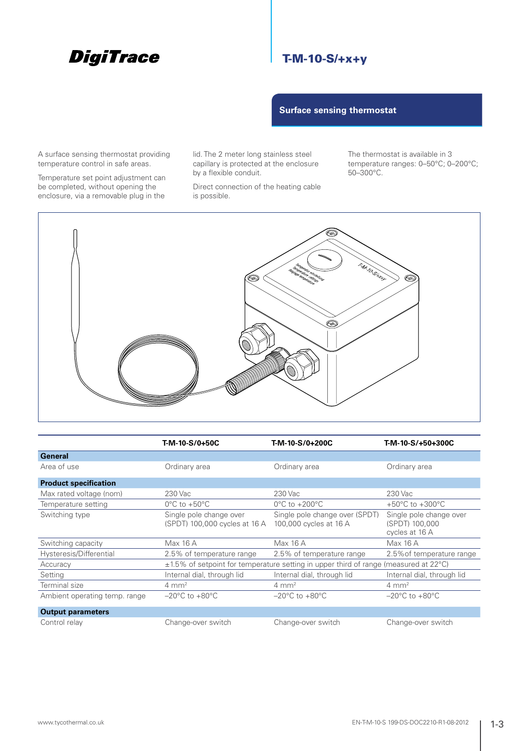# **DigiTrace**

## T-M-10-S/+x+y

**Surface sensing thermostat** 

A surface sensing thermostat providing temperature control in safe areas.

Temperature set point adjustment can be completed, without opening the enclosure, via a removable plug in the

lid. The 2 meter long stainless steel capillary is protected at the enclosure by a flexible conduit.

Direct connection of the heating cable is possible.

The thermostat is available in 3 temperature ranges: 0–50°C; 0–200°C; 50–300°C.



|                               | T-M-10-S/0+50C                                                                       | T-M-10-S/0+200C                                          | T-M-10-S/+50+300C                                           |  |
|-------------------------------|--------------------------------------------------------------------------------------|----------------------------------------------------------|-------------------------------------------------------------|--|
| <b>General</b>                |                                                                                      |                                                          |                                                             |  |
| Area of use                   | Ordinary area                                                                        | Ordinary area                                            | Ordinary area                                               |  |
| <b>Product specification</b>  |                                                                                      |                                                          |                                                             |  |
| Max rated voltage (nom)       | 230 Vac                                                                              | 230 Vac                                                  | 230 Vac                                                     |  |
| Temperature setting           | $0^{\circ}$ C to +50 $^{\circ}$ C                                                    | $0^{\circ}$ C to $+200^{\circ}$ C                        | +50 $^{\circ}$ C to +300 $^{\circ}$ C                       |  |
| Switching type                | Single pole change over<br>(SPDT) 100,000 cycles at 16 A                             | Single pole change over (SPDT)<br>100,000 cycles at 16 A | Single pole change over<br>(SPDT) 100,000<br>cycles at 16 A |  |
| Switching capacity            | Max 16 A                                                                             | Max 16 A                                                 | Max 16 A                                                    |  |
| Hysteresis/Differential       | 2.5% of temperature range                                                            | 2.5% of temperature range                                | 2.5% of temperature range                                   |  |
| Accuracy                      | ±1.5% of setpoint for temperature setting in upper third of range (measured at 22°C) |                                                          |                                                             |  |
| Setting                       | Internal dial, through lid                                                           | Internal dial, through lid                               | Internal dial, through lid                                  |  |
| Terminal size                 | $4 \text{ mm}^2$                                                                     | $4 \text{ mm}^2$                                         | $4 \text{ mm}^2$                                            |  |
| Ambient operating temp. range | $-20^{\circ}$ C to $+80^{\circ}$ C                                                   | $-20^{\circ}$ C to $+80^{\circ}$ C                       | $-20^{\circ}$ C to $+80^{\circ}$ C                          |  |
| <b>Output parameters</b>      |                                                                                      |                                                          |                                                             |  |
| Control relay                 | Change-over switch                                                                   | Change-over switch                                       | Change-over switch                                          |  |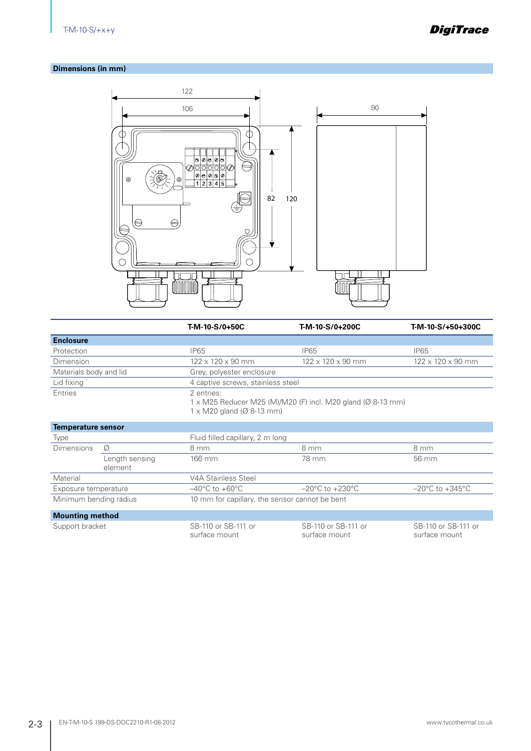**DigiTrace** 

#### **Dimensions (in mm)**



|                           |                           | T-M-10-S/0+50C                                              | T-M-10-S/0+200C                                             | T-M-10-S/+50+300C                   |  |
|---------------------------|---------------------------|-------------------------------------------------------------|-------------------------------------------------------------|-------------------------------------|--|
| <b>Enclosure</b>          |                           |                                                             |                                                             |                                     |  |
| Protection                |                           | <b>IP65</b>                                                 | <b>IP65</b>                                                 | <b>IP65</b>                         |  |
| Dimension                 |                           | 122 x 120 x 90 mm                                           | $122 \times 120 \times 90$ mm                               | $122 \times 120 \times 90$ mm       |  |
| Materials body and lid    |                           | Grey, polyester enclosure                                   |                                                             |                                     |  |
| Lid fixing                |                           | 4 captive screws, stainless steel                           |                                                             |                                     |  |
| Entries                   |                           | 2 entries:<br>$1 \times M20$ gland ( $\varnothing$ 8-13 mm) | 1 x M25 Reducer M25 (M)/M20 (F) incl. M20 gland (Ø 8-13 mm) |                                     |  |
| <b>Temperature sensor</b> |                           |                                                             |                                                             |                                     |  |
| Type                      |                           | Fluid filled capillary, 2 m long                            |                                                             |                                     |  |
| <b>Dimensions</b>         | Ø                         | 8 mm                                                        | 8 mm                                                        | 8 mm                                |  |
|                           | Length sensing<br>element | 166 mm                                                      | 78 mm                                                       | 56 mm                               |  |
| Material                  |                           | V4A Stainless Steel                                         |                                                             |                                     |  |
| Exposure temperature      |                           | $-40^{\circ}$ C to $+60^{\circ}$ C                          | $-20^{\circ}$ C to $+230^{\circ}$ C                         | $-20^{\circ}$ C to $+345^{\circ}$ C |  |
| Minimum bending radius    |                           | 10 mm for capillary, the sensor cannot be bent              |                                                             |                                     |  |
| <b>Mounting method</b>    |                           |                                                             |                                                             |                                     |  |
| Support bracket           |                           | SB-110 or SB-111 or                                         | SB-110 or SB-111 or                                         | SB-110 or SB-111 or                 |  |

surface mount

surface mount

surface mount